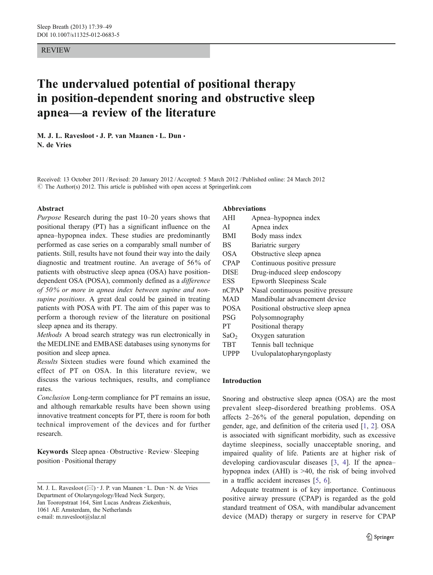### REVIEW

# The undervalued potential of positional therapy in position-dependent snoring and obstructive sleep apnea—a review of the literature

M. J. L. Ravesloot · J. P. van Maanen · L. Dun · N. de Vries

Received: 13 October 2011 /Revised: 20 January 2012 /Accepted: 5 March 2012 / Published online: 24 March 2012  $\odot$  The Author(s) 2012. This article is published with open access at Springerlink.com

#### Abstract

Purpose Research during the past 10–20 years shows that positional therapy (PT) has a significant influence on the apnea–hypopnea index. These studies are predominantly performed as case series on a comparably small number of patients. Still, results have not found their way into the daily diagnostic and treatment routine. An average of 56% of patients with obstructive sleep apnea (OSA) have positiondependent OSA (POSA), commonly defined as a difference of 50% or more in apnea index between supine and nonsupine positions. A great deal could be gained in treating patients with POSA with PT. The aim of this paper was to perform a thorough review of the literature on positional sleep apnea and its therapy.

Methods A broad search strategy was run electronically in the MEDLINE and EMBASE databases using synonyms for position and sleep apnea.

Results Sixteen studies were found which examined the effect of PT on OSA. In this literature review, we discuss the various techniques, results, and compliance rates.

Conclusion Long-term compliance for PT remains an issue, and although remarkable results have been shown using innovative treatment concepts for PT, there is room for both technical improvement of the devices and for further research.

Keywords Sleep apnea . Obstructive . Review. Sleeping position . Positional therapy

#### Abbreviations

| AHI              | Apnea-hypopnea index               |
|------------------|------------------------------------|
| AI               | Apnea index                        |
| BMI              | Body mass index                    |
| BS               | Bariatric surgery                  |
| OSA              | Obstructive sleep apnea            |
| <b>CPAP</b>      | Continuous positive pressure       |
| <b>DISE</b>      | Drug-induced sleep endoscopy       |
| <b>ESS</b>       | Epworth Sleepiness Scale           |
| nCPAP            | Nasal continuous positive pressure |
| <b>MAD</b>       | Mandibular advancement device      |
| <b>POSA</b>      | Positional obstructive sleep apnea |
| <b>PSG</b>       | Polysomnography                    |
| PT               | Positional therapy                 |
| SaO <sub>2</sub> | Oxygen saturation                  |
| TBT              | Tennis ball technique              |
| UPPP             | Uvulopalatopharyngoplasty          |

## Introduction

Snoring and obstructive sleep apnea (OSA) are the most prevalent sleep-disordered breathing problems. OSA affects 2–26% of the general population, depending on gender, age, and definition of the criteria used [[1,](#page-8-0) [2](#page-8-0)]. OSA is associated with significant morbidity, such as excessive daytime sleepiness, socially unacceptable snoring, and impaired quality of life. Patients are at higher risk of developing cardiovascular diseases [[3,](#page-8-0) [4](#page-8-0)]. If the apnea– hypopnea index (AHI) is >40, the risk of being involved in a traffic accident increases [[5,](#page-9-0) [6](#page-9-0)].

Adequate treatment is of key importance. Continuous positive airway pressure (CPAP) is regarded as the gold standard treatment of OSA, with mandibular advancement device (MAD) therapy or surgery in reserve for CPAP

M. J. L. Ravesloot  $(\boxtimes) \cdot$  J. P. van Maanen  $\cdot$  L. Dun  $\cdot$  N. de Vries Department of Otolaryngology/Head Neck Surgery, Jan Tooropstraat 164, Sint Lucas Andreas Ziekenhuis, 1061 AE Amsterdam, the Netherlands e-mail: m.ravesloot@slaz.nl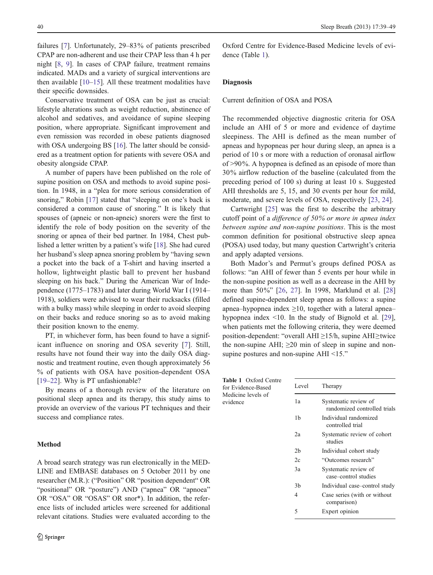failures [[7\]](#page-9-0). Unfortunately, 29–83% of patients prescribed CPAP are non-adherent and use their CPAP less than 4 h per night [[8,](#page-9-0) [9\]](#page-9-0). In cases of CPAP failure, treatment remains indicated. MADs and a variety of surgical interventions are then available [\[10](#page-9-0)–[15](#page-9-0)]. All these treatment modalities have their specific downsides.

Conservative treatment of OSA can be just as crucial: lifestyle alterations such as weight reduction, abstinence of alcohol and sedatives, and avoidance of supine sleeping position, where appropriate. Significant improvement and even remission was recorded in obese patients diagnosed with OSA undergoing BS [[16\]](#page-9-0). The latter should be considered as a treatment option for patients with severe OSA and obesity alongside CPAP.

A number of papers have been published on the role of supine position on OSA and methods to avoid supine position. In 1948, in a "plea for more serious consideration of snoring," Robin [[17\]](#page-9-0) stated that "sleeping on one's back is considered a common cause of snoring." It is likely that spouses of (apneic or non-apneic) snorers were the first to identify the role of body position on the severity of the snoring or apnea of their bed partner. In 1984, Chest published a letter written by a patient's wife [[18\]](#page-9-0). She had cured her husband's sleep apnea snoring problem by "having sewn a pocket into the back of a T-shirt and having inserted a hollow, lightweight plastic ball to prevent her husband sleeping on his back." During the American War of Independence (1775–1783) and later during World War I (1914– 1918), soldiers were advised to wear their rucksacks (filled with a bulky mass) while sleeping in order to avoid sleeping on their backs and reduce snoring so as to avoid making their position known to the enemy.

PT, in whichever form, has been found to have a significant influence on snoring and OSA severity [[7\]](#page-9-0). Still, results have not found their way into the daily OSA diagnostic and treatment routine, even though approximately 56 % of patients with OSA have position-dependent OSA [\[19](#page-9-0)–[22](#page-9-0)]. Why is PT unfashionable?

By means of a thorough review of the literature on positional sleep apnea and its therapy, this study aims to provide an overview of the various PT techniques and their success and compliance rates.

#### Method

A broad search strategy was run electronically in the MED-LINE and EMBASE databases on 5 October 2011 by one researcher (M.R.): ("Position" OR "position dependent" OR "positional" OR "posture") AND ("apnea" OR "apnoea" OR "OSA" OR "OSAS" OR snor\*). In addition, the reference lists of included articles were screened for additional relevant citations. Studies were evaluated according to the Oxford Centre for Evidence-Based Medicine levels of evidence (Table 1).

## Diagnosis

Current definition of OSA and POSA

The recommended objective diagnostic criteria for OSA include an AHI of 5 or more and evidence of daytime sleepiness. The AHI is defined as the mean number of apneas and hypopneas per hour during sleep, an apnea is a period of 10 s or more with a reduction of oronasal airflow of >90%. A hypopnea is defined as an episode of more than 30% airflow reduction of the baseline (calculated from the preceding period of 100 s) during at least 10 s. Suggested AHI thresholds are 5, 15, and 30 events per hour for mild, moderate, and severe levels of OSA, respectively [\[23](#page-9-0), [24\]](#page-9-0).

Cartwright [\[25](#page-9-0)] was the first to describe the arbitrary cutoff point of a difference of 50% or more in apnea index between supine and non-supine positions. This is the most common definition for positional obstructive sleep apnea (POSA) used today, but many question Cartwright's criteria and apply adapted versions.

Both Mador's and Permut's groups defined POSA as follows: "an AHI of fewer than 5 events per hour while in the non-supine position as well as a decrease in the AHI by more than 50%" [[26,](#page-9-0) [27\]](#page-9-0). In 1998, Marklund et al. [\[28](#page-9-0)] defined supine-dependent sleep apnea as follows: a supine apnea–hypopnea index  $\geq 10$ , together with a lateral apnea– hypopnea index <10. In the study of Bignold et al. [[29\]](#page-9-0), when patients met the following criteria, they were deemed position-dependent: "overall AHI ≥15/h, supine AHI≥twice the non-supine AHI;  $\geq$ 20 min of sleep in supine and nonsupine postures and non-supine AHI <15."

Table 1 Oxford Centre for Evidence-Based Medicine levels of evidence

| Level          | Therapy                                              |
|----------------|------------------------------------------------------|
| 1a             | Systematic review of<br>randomized controlled trials |
| 1b             | Individual randomized<br>controlled trial            |
| 2a             | Systematic review of cohort<br>studies               |
| 2 <sub>b</sub> | Individual cohort study                              |
| 2c             | "Outcomes research"                                  |
| 3a             | Systematic review of<br>case-control studies         |
| 3b             | Individual case–control study                        |
| 4              | Case series (with or without<br>comparison)          |
| 5              | Expert opinion                                       |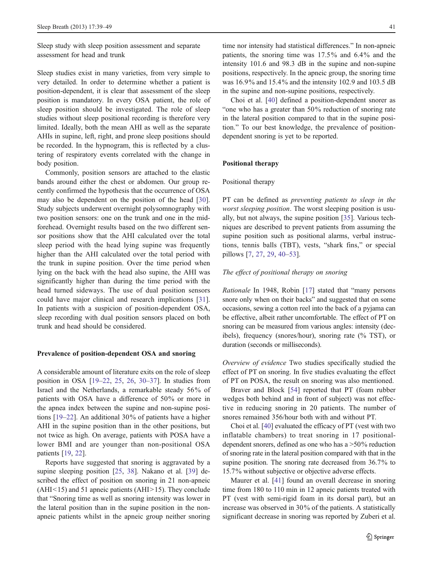Sleep study with sleep position assessment and separate assessment for head and trunk

Sleep studies exist in many varieties, from very simple to very detailed. In order to determine whether a patient is position-dependent, it is clear that assessment of the sleep position is mandatory. In every OSA patient, the role of sleep position should be investigated. The role of sleep studies without sleep positional recording is therefore very limited. Ideally, both the mean AHI as well as the separate AHIs in supine, left, right, and prone sleep positions should be recorded. In the hypnogram, this is reflected by a clustering of respiratory events correlated with the change in body position.

Commonly, position sensors are attached to the elastic bands around either the chest or abdomen. Our group recently confirmed the hypothesis that the occurrence of OSA may also be dependent on the position of the head [\[30](#page-9-0)]. Study subjects underwent overnight polysomnography with two position sensors: one on the trunk and one in the midforehead. Overnight results based on the two different sensor positions show that the AHI calculated over the total sleep period with the head lying supine was frequently higher than the AHI calculated over the total period with the trunk in supine position. Over the time period when lying on the back with the head also supine, the AHI was significantly higher than during the time period with the head turned sideways. The use of dual position sensors could have major clinical and research implications [\[31](#page-9-0)]. In patients with a suspicion of position-dependent OSA, sleep recording with dual position sensors placed on both trunk and head should be considered.

#### Prevalence of position-dependent OSA and snoring

A considerable amount of literature exits on the role of sleep position in OSA [\[19](#page-9-0)–[22](#page-9-0), [25,](#page-9-0) [26](#page-9-0), [30](#page-9-0)–[37](#page-9-0)]. In studies from Israel and the Netherlands, a remarkable steady 56% of patients with OSA have a difference of 50% or more in the apnea index between the supine and non-supine positions [\[19](#page-9-0)–[22](#page-9-0)]. An additional 30% of patients have a higher AHI in the supine position than in the other positions, but not twice as high. On average, patients with POSA have a lower BMI and are younger than non-positional OSA patients [[19,](#page-9-0) [22](#page-9-0)].

Reports have suggested that snoring is aggravated by a supine sleeping position [\[25](#page-9-0), [38\]](#page-9-0). Nakano et al. [[39\]](#page-9-0) described the effect of position on snoring in 21 non-apneic  $(AHI<15)$  and 51 apneic patients  $(AHI>15)$ . They conclude that "Snoring time as well as snoring intensity was lower in the lateral position than in the supine position in the nonapneic patients whilst in the apneic group neither snoring

time nor intensity had statistical differences." In non-apneic patients, the snoring time was 17.5% and 6.4% and the intensity 101.6 and 98.3 dB in the supine and non-supine positions, respectively. In the apneic group, the snoring time was 16.9% and 15.4% and the intensity 102.9 and 103.5 dB in the supine and non-supine positions, respectively.

Choi et al. [[40\]](#page-9-0) defined a position-dependent snorer as "one who has a greater than 50% reduction of snoring rate in the lateral position compared to that in the supine position." To our best knowledge, the prevalence of positiondependent snoring is yet to be reported.

#### Positional therapy

## Positional therapy

PT can be defined as preventing patients to sleep in the worst sleeping position. The worst sleeping position is usually, but not always, the supine position [[35\]](#page-9-0). Various techniques are described to prevent patients from assuming the supine position such as positional alarms, verbal instructions, tennis balls (TBT), vests, "shark fins," or special pillows [\[7](#page-9-0), [27,](#page-9-0) [29](#page-9-0), [40](#page-9-0)–[53\]](#page-10-0).

## The effect of positional therapy on snoring

Rationale In 1948, Robin [[17\]](#page-9-0) stated that "many persons snore only when on their backs" and suggested that on some occasions, sewing a cotton reel into the back of a pyjama can be effective, albeit rather uncomfortable. The effect of PT on snoring can be measured from various angles: intensity (decibels), frequency (snores/hour), snoring rate (% TST), or duration (seconds or milliseconds).

Overview of evidence Two studies specifically studied the effect of PT on snoring. In five studies evaluating the effect of PT on POSA, the result on snoring was also mentioned.

Braver and Block [\[54](#page-10-0)] reported that PT (foam rubber wedges both behind and in front of subject) was not effective in reducing snoring in 20 patients. The number of snores remained 356/hour both with and without PT.

Choi et al. [[40\]](#page-9-0) evaluated the efficacy of PT (vest with two inflatable chambers) to treat snoring in 17 positionaldependent snorers, defined as one who has a >50% reduction of snoring rate in the lateral position compared with that in the supine position. The snoring rate decreased from 36.7% to 15.7% without subjective or objective adverse effects.

Maurer et al. [[41](#page-9-0)] found an overall decrease in snoring time from 180 to 110 min in 12 apneic patients treated with PT (vest with semi-rigid foam in its dorsal part), but an increase was observed in 30% of the patients. A statistically significant decrease in snoring was reported by Zuberi et al.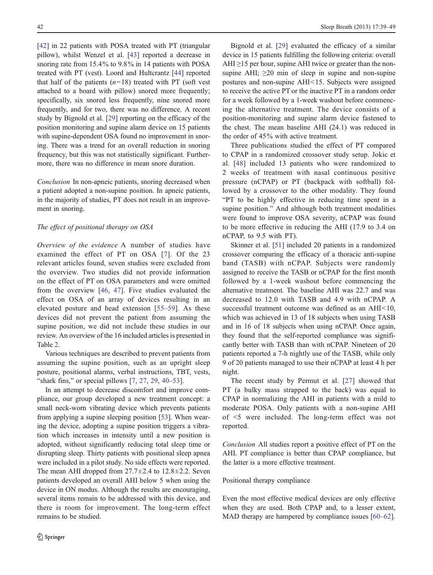[\[42](#page-9-0)] in 22 patients with POSA treated with PT (triangular pillow), whilst Wenzel et al. [[43\]](#page-9-0) reported a decrease in snoring rate from 15.4% to 9.8% in 14 patients with POSA treated with PT (vest). Loord and Hultcrantz [[44\]](#page-9-0) reported that half of the patients  $(n=18)$  treated with PT (soft vest attached to a board with pillow) snored more frequently; specifically, six snored less frequently, nine snored more frequently, and for two, there was no difference. A recent study by Bignold et al. [[29\]](#page-9-0) reporting on the efficacy of the position monitoring and supine alarm device on 15 patients with supine-dependent OSA found no improvement in snoring. There was a trend for an overall reduction in snoring frequency, but this was not statistically significant. Furthermore, there was no difference in mean snore duration.

Conclusion In non-apneic patients, snoring decreased when a patient adopted a non-supine position. In apneic patients, in the majority of studies, PT does not result in an improvement in snoring.

## The effect of positional therapy on OSA

Overview of the evidence A number of studies have examined the effect of PT on OSA [\[7\]](#page-9-0). Of the 23 relevant articles found, seven studies were excluded from the overview. Two studies did not provide information on the effect of PT on OSA parameters and were omitted from the overview [[46,](#page-9-0) [47](#page-10-0)]. Five studies evaluated the effect on OSA of an array of devices resulting in an elevated posture and head extension [[55](#page-10-0)–[59](#page-10-0)]. As these devices did not prevent the patient from assuming the supine position, we did not include these studies in our review. An overview of the 16 included articles is presented in Table [2.](#page-4-0)

Various techniques are described to prevent patients from assuming the supine position, such as an upright sleep posture, positional alarms, verbal instructions, TBT, vests, "shark fins," or special pillows  $[7, 27, 29, 40-53]$  $[7, 27, 29, 40-53]$  $[7, 27, 29, 40-53]$  $[7, 27, 29, 40-53]$  $[7, 27, 29, 40-53]$  $[7, 27, 29, 40-53]$  $[7, 27, 29, 40-53]$  $[7, 27, 29, 40-53]$  $[7, 27, 29, 40-53]$ .

In an attempt to decrease discomfort and improve compliance, our group developed a new treatment concept: a small neck-worn vibrating device which prevents patients from applying a supine sleeping position [\[53](#page-10-0)]. When wearing the device, adopting a supine position triggers a vibration which increases in intensity until a new position is adopted, without significantly reducing total sleep time or disrupting sleep. Thirty patients with positional sleep apnea were included in a pilot study. No side effects were reported. The mean AHI dropped from  $27.7 \pm 2.4$  to  $12.8 \pm 2.2$ . Seven patients developed an overall AHI below 5 when using the device in ON modus. Although the results are encouraging, several items remain to be addressed with this device, and there is room for improvement. The long-term effect remains to be studied.

Bignold et al. [[29\]](#page-9-0) evaluated the efficacy of a similar device in 15 patients fulfilling the following criteria: overall AHI  $\geq$ 15 per hour, supine AHI twice or greater than the nonsupine AHI;  $\geq$ 20 min of sleep in supine and non-supine postures and non-supine AHI<15. Subjects were assigned to receive the active PT or the inactive PT in a random order for a week followed by a 1-week washout before commencing the alternative treatment. The device consists of a position-monitoring and supine alarm device fastened to the chest. The mean baseline AHI (24.1) was reduced in the order of 45% with active treatment.

Three publications studied the effect of PT compared to CPAP in a randomized crossover study setup. Jokic et al. [[48\]](#page-10-0) included 13 patients who were randomized to 2 weeks of treatment with nasal continuous positive pressure (nCPAP) or PT (backpack with softball) followed by a crossover to the other modality. They found "PT to be highly effective in reducing time spent in a supine position." And although both treatment modalities were found to improve OSA severity, nCPAP was found to be more effective in reducing the AHI (17.9 to 3.4 on nCPAP, to 9.5 with PT).

Skinner et al. [[51\]](#page-10-0) included 20 patients in a randomized crossover comparing the efficacy of a thoracic anti-supine band (TASB) with nCPAP. Subjects were randomly assigned to receive the TASB or nCPAP for the first month followed by a 1-week washout before commencing the alternative treatment. The baseline AHI was 22.7 and was decreased to 12.0 with TASB and 4.9 with nCPAP. A successful treatment outcome was defined as an AHI<10, which was achieved in 13 of 18 subjects when using TASB and in 16 of 18 subjects when using nCPAP. Once again, they found that the self-reported compliance was significantly better with TASB than with nCPAP. Nineteen of 20 patients reported a 7-h nightly use of the TASB, while only 9 of 20 patients managed to use their nCPAP at least 4 h per night.

The recent study by Permut et al. [[27\]](#page-9-0) showed that PT (a bulky mass strapped to the back) was equal to CPAP in normalizing the AHI in patients with a mild to moderate POSA. Only patients with a non-supine AHI of <5 were included. The long-term effect was not reported.

Conclusion All studies report a positive effect of PT on the AHI. PT compliance is better than CPAP compliance, but the latter is a more effective treatment.

#### Positional therapy compliance

Even the most effective medical devices are only effective when they are used. Both CPAP and, to a lesser extent, MAD therapy are hampered by compliance issues [\[60](#page-10-0)–[62](#page-10-0)].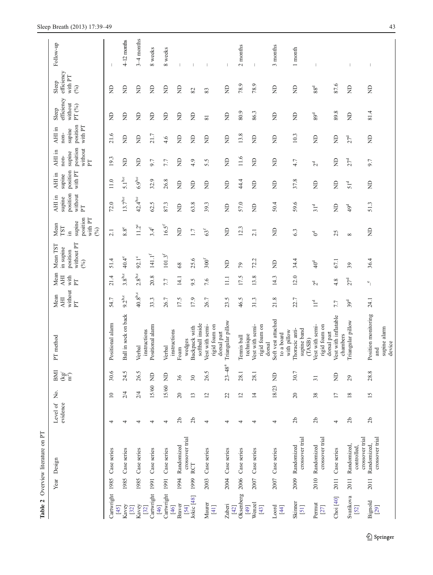<span id="page-4-0"></span>

|                                                                 |      | Year Design                                       | Level of<br>evidence | Σó,            | IMB<br>$\frac{\text{deg}}{\text{m}^2}$ | PT method                                            | without<br>$\begin{array}{c} \text{Mean} \\ \text{AH} \end{array}$<br>$\Gamma$ | Mean<br><b>AHI</b><br>with<br>E | without PT<br>Mean TST<br>in supine<br>position<br>(%) | position<br>with PT<br>supine<br>Mean<br>$\operatorname{TST}$<br>(%)<br>$\Xi$ | position<br>without<br>AHI in<br>supine<br>$\Gamma$ | position<br>with PT<br>AHI in<br>supine | position<br>without<br>AHI in<br>supine<br>non-<br>$\overline{F}$ | position<br>with PT<br>AHI in<br>supine<br>non- | efficiency<br>without<br>PT $( \% )$<br>Sleep | efficiency<br>with PT<br>Sleep<br>(%) | Follow-up                |
|-----------------------------------------------------------------|------|---------------------------------------------------|----------------------|----------------|----------------------------------------|------------------------------------------------------|--------------------------------------------------------------------------------|---------------------------------|--------------------------------------------------------|-------------------------------------------------------------------------------|-----------------------------------------------------|-----------------------------------------|-------------------------------------------------------------------|-------------------------------------------------|-----------------------------------------------|---------------------------------------|--------------------------|
| Cartwright 1985                                                 |      | Case series                                       | 4                    | $\equiv$       | 30.6                                   | Positional alarm                                     | 54.7                                                                           | 21.4                            | 51.4                                                   | 2.1                                                                           | 72.0                                                | 11.0                                    | 19.3                                                              | 21.6                                            | £                                             | £                                     |                          |
| Kavey<br>$[45]$                                                 | 1985 | Case series                                       | 4                    | 2/4            | 24.5                                   | Ball in sock on back                                 | $9.2^{b,c}$                                                                    | $3.8^{b,c}$                     | $40.4^\circ$                                           | $8.8^{\circ}$                                                                 | $13.7^{b,c}$                                        | $5.1^{b,c}$                             | Ê                                                                 | $\Xi$                                           | Ê                                             | Ê                                     | $4-12$ months            |
| Kavey<br>$[32]$                                                 | 1985 | Case series                                       | 4                    | 2/4            | 26.5                                   | Verbal                                               | $40.8^{\rm b,c}$                                                               | $2.8^{b,c}$                     | $92.1^{\circ}$                                         | $11.2^{\circ}$                                                                | $42.4^{\mathrm{b,c}}$                               | $6.9^{b,c}$                             | £                                                                 | $\Xi$                                           | £                                             | £                                     | $3-4$ months             |
| Cartwright 1991<br>$[32]$                                       |      | Case series                                       | 4                    | 15/60 ND       |                                        | Positional alarm<br>instructions                     | 33.3                                                                           | 20.8                            | $141.1^\mathrm{f}$                                     | $3.4^{\rm f}$                                                                 | 62.5                                                | 32.9                                    | 9.7                                                               | 21.7                                            | $\Xi$                                         | $\Xi$                                 | 8 weeks                  |
| Cartwright 1991<br>$[46]$                                       |      | Case series                                       | 4                    | 15/60 ND       |                                        | Verbal                                               | 26.7                                                                           | 7.7                             | $101.3^{\rm f}$                                        | $16.5^{\rm f}$                                                                | 87.3                                                | 26.8                                    | 7.7                                                               | 4.6                                             | $\Xi$                                         | £                                     | 8 weeks                  |
| Braver<br>$[54]$<br>[46]                                        | 1994 | Randomized                                        | 2b                   | 20             | 36                                     | instructions<br>Foam                                 | 17.5                                                                           | 14.1                            | 68                                                     | $\Xi$                                                                         | $\Xi$                                               | $\Xi$                                   | g                                                                 | $\Xi$                                           | $\Xi$                                         | g                                     |                          |
| Jokic [48]                                                      | 1999 | crossover trial<br>RCT                            | 2b                   | 13             | 30                                     | softball inside<br>Backpack with<br>wedges           | 17.9                                                                           | 9.5                             | 25.6                                                   | 1.7                                                                           | 63.8                                                | £                                       | 4.9                                                               | $\Xi$                                           | $\Xi$                                         | 82                                    |                          |
| Maurer<br>$[41]$                                                | 2003 | Case series                                       | 4                    | 12             | 26.5                                   | rigid foam on<br>Vest with semi-<br>dorsal part      | 26.7                                                                           | 7.6                             | $300^{\mathrm{f}}$                                     | 63 <sup>f</sup>                                                               | 39.3                                                | Ê                                       | 5.5                                                               | $\Xi$                                           | $\overline{81}$                               | 83                                    |                          |
| Zuberi<br>$[42]$                                                |      | 2004 Case series                                  | 4                    | 22             | $23 - 48^{a}$                          | Triangular pillow                                    | 23.5                                                                           | $\Xi$                           | Ê                                                      | Ê                                                                             | $\Xi$                                               | Ê                                       | Ê                                                                 | $\Xi$                                           | Ê                                             | Ê                                     | т                        |
| Oksenberg<br>$[49]$                                             | 2006 | Case series                                       | 4                    | 12             | 28.1                                   | technique<br>Tennis ball                             | 46.5                                                                           | 17.5                            | 79                                                     | 12.3                                                                          | 57.0                                                | 44.4                                    | 11.6                                                              | 13.8                                            | 80.9                                          | 78.9                                  | 2 months                 |
| Wenzel<br>$[43]$                                                | 2007 | Case series                                       | 4                    | $\overline{1}$ | 28.1                                   | Vest with semi-<br>rigid foam on<br>dorsal           | 31.3                                                                           | 13.8                            | 72.2                                                   | 2.1                                                                           | $\Xi$                                               | $\Xi$                                   | $\Xi$                                                             | $\Xi$                                           | 86.3                                          | 78.9                                  | $\overline{\phantom{a}}$ |
| $_{\mbox{\small\textsf{Lord}}}$<br>$[44]$                       | 2007 | Case series                                       | 4                    | 18/23          | $\Xi$                                  | Soft vest attached<br>with pillow<br>to a board      | 21.8                                                                           | 14.3                            | $\Xi$                                                  | g                                                                             | 50.4                                                | g                                       | g                                                                 | $\Xi$                                           | g                                             | g                                     | 3 months                 |
| Skinner<br>$[51]$                                               | 2009 | crossover trial<br>Randomized                     | 2b                   | $\overline{c}$ | 30.7                                   | supine band<br>Thoracic anti-<br>(TASB)              | 22.7                                                                           | 12.0                            | 34.4                                                   | 6.3                                                                           | 59.6                                                | 37.8                                    | $4.7$                                                             | 10.3                                            | Ê                                             | Ê                                     | 1 month                  |
| Permut<br>$[27]$                                                | 2010 | crossover trial<br>Randomized                     | 2b                   | 38             | $\overline{31}$                        | Vest with semi-<br>rigid foam on<br>dorsal part      | $11^{\rm d}$                                                                   | $\mathcal{L}^{\mathsf{d}}$      | $40^{\rm d}$                                           | $\sigma^{\rm d}$                                                              | 31 <sup>d</sup>                                     | Ê                                       | $\mathcal{L}^{\mathsf{d}}$                                        | $\Xi$                                           | $\rm 89^d$                                    | 88 <sup>d</sup>                       |                          |
| Choi [40]                                                       | 2011 | Case series                                       | 4                    | 17             | $\Xi$                                  | Vest with inflatable<br>chambers                     | 7.7                                                                            | 4.8                             | 67.1                                                   | 25                                                                            | $\Xi$                                               | Ê                                       | Ê                                                                 | $\Xi$                                           | 89.8                                          | 87.6                                  |                          |
| Svatikova<br>$[52]$                                             | 2011 | Randomized<br>controlled,                         | 2b                   | 18             | 29                                     | Triangular pillow                                    | 39 <sup>d</sup>                                                                | 27 <sup>d</sup>                 | 39                                                     | ${}^{\circ}$                                                                  | $49^{\rm d}$                                        | 51 <sup>d</sup>                         | 27 <sup>d</sup>                                                   | 27 <sup>d</sup>                                 | $\Xi$                                         | $\Xi$                                 |                          |
| $\begin{array}{c} \mathrm{Bimold} \\ \mathrm{[29]} \end{array}$ | 2011 | crossover trial<br>crossover trial<br>Randomized, | 2b                   | 15             | 28.8                                   | Position monitoring<br>supine alarm<br>device<br>and | 24.1                                                                           | $\circ$                         | 36.4                                                   | g                                                                             | 51.3                                                | Ê                                       | 9.7                                                               | $\Xi$                                           | 81.4                                          | Ê                                     |                          |
|                                                                 |      |                                                   |                      |                |                                        |                                                      |                                                                                |                                 |                                                        |                                                                               |                                                     |                                         |                                                                   |                                                 |                                               |                                       |                          |

Table 2 Overview literature on PT

Table 2 Overview literature on PT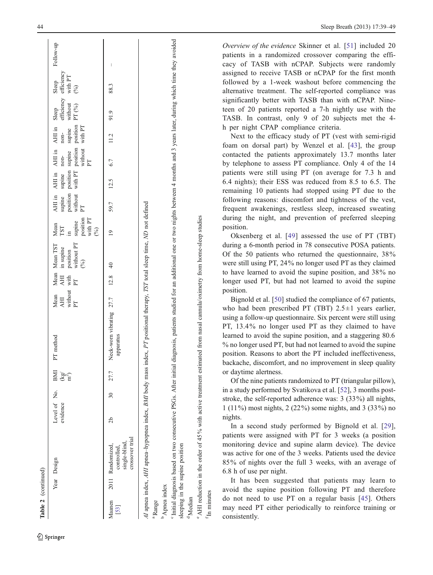|                                                | Table 2 (continued)                                                                                            |                          |                 |                        |                                                                                                                                                                                                                                                                  |                                                |                     |                                                                                 |                                                                     |                                                |        |                              |      |                                                                                                           |                                          |           |
|------------------------------------------------|----------------------------------------------------------------------------------------------------------------|--------------------------|-----------------|------------------------|------------------------------------------------------------------------------------------------------------------------------------------------------------------------------------------------------------------------------------------------------------------|------------------------------------------------|---------------------|---------------------------------------------------------------------------------|---------------------------------------------------------------------|------------------------------------------------|--------|------------------------------|------|-----------------------------------------------------------------------------------------------------------|------------------------------------------|-----------|
|                                                | Year Design                                                                                                    | Level of No.<br>evidence |                 | IMB<br>$\frac{2}{n^2}$ | PT method                                                                                                                                                                                                                                                        | without with<br>Mean<br><b>AHI</b><br>$\Gamma$ | $\overline{\Gamma}$ | in supine<br>position<br>without PT<br>Mean Mean TST<br>AHI in supine<br>$(\%)$ | position<br>with PT<br>supine<br>Mean<br>TST<br>(%)<br>$\mathbf{u}$ | without<br>$AHI$ in<br>position<br>supine<br>E | supine | AHI in AHI in AHI in<br>non- | non- | efficiency<br>position suppressure.<br>with PT position position PT $(^{9}6)$<br>without with PT<br>Sleep | efficiency<br>with PT<br>Sleep<br>$(\%)$ | Follow-up |
| Maanen<br>$[53]$                               | crossover trial<br>single-blind,<br>2011 Randomized,<br>controlled,                                            | 2 <sub>b</sub>           | 30 <sub>1</sub> | 27.7                   | Neck-worn vibrating 27.7 12.8 40<br>apparatus                                                                                                                                                                                                                    |                                                |                     |                                                                                 | $\frac{1}{2}$                                                       | 59.7 $12.5$ 6.7                                |        |                              | 11.2 | 91.9                                                                                                      | 88.3                                     | I         |
| <sup>b</sup> Apnea index<br><sup>a</sup> Range | <sup>c</sup> Initial diagnosis based on two consecutive PSGs. After initial<br>sleeping in the supine position |                          |                 |                        | diagnosis, patients studied for an additional one or two nights between 4 months and 3 years later, during which time they avoided<br>AI apnea index, AHI apnea-hypopnea index, BMI body mass index, PT positional therapy, TST total sleep time, ND not defined |                                                |                     |                                                                                 |                                                                     |                                                |        |                              |      |                                                                                                           |                                          |           |

dMedian

e

In minutes <sup>I</sup> In minutes

AHI reduction in the order of 45% with active treatment estimated from nasal cannula/oximetry from home-sleep studies

Overview of the evidence Skinner et al. [[51\]](#page-10-0) included 20 patients in a randomized crossover comparing the efficacy of TASB with nCPAP. Subjects were randomly assigned to receive TASB or nCPAP for the first month followed by a 1-week washout before commencing the alternative treatment. The self-reported compliance was significantly better with TASB than with nCPAP. Nineteen of 20 patients reported a 7-h nightly use with the TASB. In contrast, only 9 of 20 subjects met the 4 h per night CPAP compliance criteria. Next to the efficacy study of PT (vest with semi-rigid

foam on dorsal part) by Wenzel et al. [[43](#page-9-0)], the group contacted the patients approximately 13.7 months later by telephone to assess PT compliance. Only 4 of the 14 patients were still using PT (on average for 7.3 h and 6.4 nights); their ESS was reduced from 8.5 to 6.5. The remaining 10 patients had stopped using PT due to the following reasons: discomfort and tightness of the vest, frequent awakenings, restless sleep, increased sweating during the night, and prevention of preferred sleeping position.

Oksenberg et al. [[49](#page-10-0)] assessed the use of PT (TBT) during a 6-month period in 78 consecutive POSA patients. Of the 50 patients who returned the questionnaire, 38% were still using PT, 24% no longer used PT as they claimed to have learned to avoid the supine position, and 38% no longer used PT, but had not learned to avoid the supine position.

Bignold et al. [\[50](#page-10-0)] studied the compliance of 67 patients, who had been prescribed PT (TBT)  $2.5 \pm 1$  years earlier, using a follow-up questionnaire. Six percent were still using PT, 13.4% no longer used PT as they claimed to have learned to avoid the supine position, and a staggering 80.6 % no longer used PT, but had not learned to avoid the supine position. Reasons to abort the PT included ineffectiveness, backache, discomfort, and no improvement in sleep quality or daytime alertness.

Of the nine patients randomized to PT (triangular pillow), in a study performed by Svatikova et al. [[52\]](#page-10-0), 3 months poststroke, the self-reported adherence was: 3 (33%) all nights, 1 (11%) most nights, 2 (22%) some nights, and 3 (33%) no nights.

In a second study performed by Bignold et al. [\[29](#page-9-0)], patients were assigned with PT for 3 weeks (a position monitoring device and supine alarm device). The device was active for one of the 3 weeks. Patients used the device 85% of nights over the full 3 weeks, with an average of 6.8 h of use per night.

It has been suggested that patients may learn to avoid the supine position following PT and therefore do not need to use PT on a regular basis [\[45\]](#page-9-0). Others may need PT either periodically to reinforce training or consistently.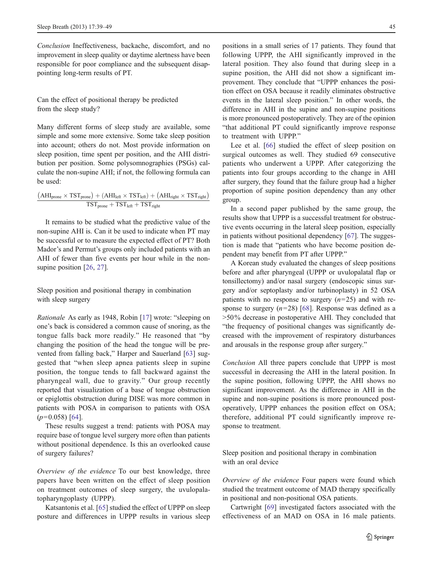Conclusion Ineffectiveness, backache, discomfort, and no improvement in sleep quality or daytime alertness have been responsible for poor compliance and the subsequent disappointing long-term results of PT.

Can the effect of positional therapy be predicted from the sleep study?

Many different forms of sleep study are available, some simple and some more extensive. Some take sleep position into account; others do not. Most provide information on sleep position, time spent per position, and the AHI distribution per position. Some polysomnographies (PSGs) calculate the non-supine AHI; if not, the following formula can be used:

$$
\frac{\left(\text{AHI}_{\text{prone}} \times \text{TST}_{\text{prone}}\right) + \left(\text{AHI}_{\text{left}} \times \text{TST}_{\text{left}}\right) + \left(\text{AHI}_{\text{right}} \times \text{TST}_{\text{right}}\right)}{\text{TST}_{\text{prone}} + \text{TST}_{\text{left}} + \text{TST}_{\text{right}}}
$$

It remains to be studied what the predictive value of the non-supine AHI is. Can it be used to indicate when PT may be successful or to measure the expected effect of PT? Both Mador's and Permut's groups only included patients with an AHI of fewer than five events per hour while in the non-supine position [\[26](#page-9-0), [27](#page-9-0)].

Sleep position and positional therapy in combination with sleep surgery

Rationale As early as 1948, Robin [[17\]](#page-9-0) wrote: "sleeping on one's back is considered a common cause of snoring, as the tongue falls back more readily." He reasoned that "by changing the position of the head the tongue will be prevented from falling back," Harper and Sauerland [[63\]](#page-10-0) suggested that "when sleep apnea patients sleep in supine position, the tongue tends to fall backward against the pharyngeal wall, due to gravity." Our group recently reported that visualization of a base of tongue obstruction or epiglottis obstruction during DISE was more common in patients with POSA in comparison to patients with OSA  $(p=0.058)$  [\[64](#page-10-0)].

These results suggest a trend: patients with POSA may require base of tongue level surgery more often than patients without positional dependence. Is this an overlooked cause of surgery failures?

Overview of the evidence To our best knowledge, three papers have been written on the effect of sleep position on treatment outcomes of sleep surgery, the uvulopalatopharyngoplasty (UPPP).

Katsantonis et al. [[65\]](#page-10-0) studied the effect of UPPP on sleep posture and differences in UPPP results in various sleep positions in a small series of 17 patients. They found that following UPPP, the AHI significantly improved in the lateral position. They also found that during sleep in a supine position, the AHI did not show a significant improvement. They conclude that "UPPP enhances the position effect on OSA because it readily eliminates obstructive events in the lateral sleep position." In other words, the difference in AHI in the supine and non-supine positions is more pronounced postoperatively. They are of the opinion "that additional PT could significantly improve response to treatment with UPPP."

Lee et al. [[66\]](#page-10-0) studied the effect of sleep position on surgical outcomes as well. They studied 69 consecutive patients who underwent a UPPP. After categorizing the patients into four groups according to the change in AHI after surgery, they found that the failure group had a higher proportion of supine position dependency than any other group.

In a second paper published by the same group, the results show that UPPP is a successful treatment for obstructive events occurring in the lateral sleep position, especially in patients without positional dependency [[67\]](#page-10-0). The suggestion is made that "patients who have become position dependent may benefit from PT after UPPP."

A Korean study evaluated the changes of sleep positions before and after pharyngeal (UPPP or uvulopalatal flap or tonsillectomy) and/or nasal surgery (endoscopic sinus surgery and/or septoplasty and/or turbinoplasty) in 52 OSA patients with no response to surgery  $(n=25)$  and with response to surgery  $(n=28)$  [[68\]](#page-10-0). Response was defined as a >50% decrease in postoperative AHI. They concluded that "the frequency of positional changes was significantly decreased with the improvement of respiratory disturbances and arousals in the response group after surgery."

Conclusion All three papers conclude that UPPP is most successful in decreasing the AHI in the lateral position. In the supine position, following UPPP, the AHI shows no significant improvement. As the difference in AHI in the supine and non-supine positions is more pronounced postoperatively, UPPP enhances the position effect on OSA; therefore, additional PT could significantly improve response to treatment.

Sleep position and positional therapy in combination with an oral device

Overview of the evidence Four papers were found which studied the treatment outcome of MAD therapy specifically in positional and non-positional OSA patients.

Cartwright [\[69](#page-10-0)] investigated factors associated with the effectiveness of an MAD on OSA in 16 male patients.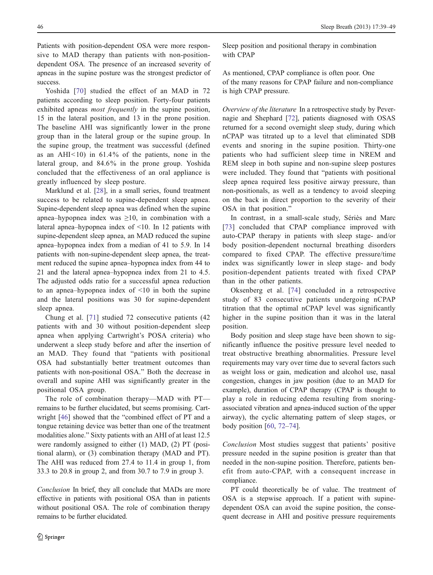Patients with position-dependent OSA were more responsive to MAD therapy than patients with non-positiondependent OSA. The presence of an increased severity of apneas in the supine posture was the strongest predictor of success.

Yoshida [[70](#page-10-0)] studied the effect of an MAD in 72 patients according to sleep position. Forty-four patients exhibited apneas *most frequently* in the supine position, 15 in the lateral position, and 13 in the prone position. The baseline AHI was significantly lower in the prone group than in the lateral group or the supine group. In the supine group, the treatment was successful (defined as an AHI $<$ 10) in 61.4% of the patients, none in the lateral group, and 84.6% in the prone group. Yoshida concluded that the effectiveness of an oral appliance is greatly influenced by sleep posture.

Marklund et al. [[28\]](#page-9-0), in a small series, found treatment success to be related to supine-dependent sleep apnea. Supine-dependent sleep apnea was defined when the supine apnea–hypopnea index was  $\geq 10$ , in combination with a lateral apnea–hypopnea index of <10. In 12 patients with supine-dependent sleep apnea, an MAD reduced the supine apnea–hypopnea index from a median of 41 to 5.9. In 14 patients with non-supine-dependent sleep apnea, the treatment reduced the supine apnea–hypopnea index from 44 to 21 and the lateral apnea–hypopnea index from 21 to 4.5. The adjusted odds ratio for a successful apnea reduction to an apnea–hypopnea index of <10 in both the supine and the lateral positions was 30 for supine-dependent sleep apnea.

Chung et al. [[71\]](#page-10-0) studied 72 consecutive patients (42 patients with and 30 without position-dependent sleep apnea when applying Cartwright's POSA criteria) who underwent a sleep study before and after the insertion of an MAD. They found that "patients with positional OSA had substantially better treatment outcomes than patients with non-positional OSA." Both the decrease in overall and supine AHI was significantly greater in the positional OSA group.

The role of combination therapy—MAD with PT remains to be further elucidated, but seems promising. Cartwright [[46\]](#page-9-0) showed that the "combined effect of PT and a tongue retaining device was better than one of the treatment modalities alone." Sixty patients with an AHI of at least 12.5 were randomly assigned to either (1) MAD, (2) PT (positional alarm), or (3) combination therapy (MAD and PT). The AHI was reduced from 27.4 to 11.4 in group 1, from 33.3 to 20.8 in group 2, and from 30.7 to 7.9 in group 3.

Conclusion In brief, they all conclude that MADs are more effective in patients with positional OSA than in patients without positional OSA. The role of combination therapy remains to be further elucidated.

Sleep position and positional therapy in combination with CPAP

As mentioned, CPAP compliance is often poor. One of the many reasons for CPAP failure and non-compliance is high CPAP pressure.

Overview of the literature In a retrospective study by Pevernagie and Shephard [\[72](#page-10-0)], patients diagnosed with OSAS returned for a second overnight sleep study, during which nCPAP was titrated up to a level that eliminated SDB events and snoring in the supine position. Thirty-one patients who had sufficient sleep time in NREM and REM sleep in both supine and non-supine sleep postures were included. They found that "patients with positional sleep apnea required less positive airway pressure, than non-positionals, as well as a tendency to avoid sleeping on the back in direct proportion to the severity of their OSA in that position."

In contrast, in a small-scale study, Sériès and Marc [\[73\]](#page-10-0) concluded that CPAP compliance improved with auto-CPAP therapy in patients with sleep stage- and/or body position-dependent nocturnal breathing disorders compared to fixed CPAP. The effective pressure/time index was significantly lower in sleep stage- and body position-dependent patients treated with fixed CPAP than in the other patients.

Oksenberg et al. [[74](#page-10-0)] concluded in a retrospective study of 83 consecutive patients undergoing nCPAP titration that the optimal nCPAP level was significantly higher in the supine position than it was in the lateral position.

Body position and sleep stage have been shown to significantly influence the positive pressure level needed to treat obstructive breathing abnormalities. Pressure level requirements may vary over time due to several factors such as weight loss or gain, medication and alcohol use, nasal congestion, changes in jaw position (due to an MAD for example), duration of CPAP therapy (CPAP is thought to play a role in reducing edema resulting from snoringassociated vibration and apnea-induced suction of the upper airway), the cyclic alternating pattern of sleep stages, or body position [\[60](#page-10-0), [72](#page-10-0)–[74\]](#page-10-0).

Conclusion Most studies suggest that patients' positive pressure needed in the supine position is greater than that needed in the non-supine position. Therefore, patients benefit from auto-CPAP, with a consequent increase in compliance.

PT could theoretically be of value. The treatment of OSA is a stepwise approach. If a patient with supinedependent OSA can avoid the supine position, the consequent decrease in AHI and positive pressure requirements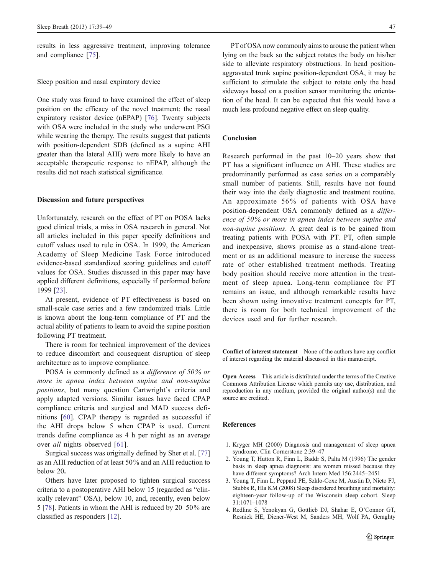<span id="page-8-0"></span>results in less aggressive treatment, improving tolerance and compliance [\[75](#page-10-0)].

Sleep position and nasal expiratory device

One study was found to have examined the effect of sleep position on the efficacy of the novel treatment: the nasal expiratory resistor device (nEPAP) [[76\]](#page-10-0). Twenty subjects with OSA were included in the study who underwent PSG while wearing the therapy. The results suggest that patients with position-dependent SDB (defined as a supine AHI greater than the lateral AHI) were more likely to have an acceptable therapeutic response to nEPAP, although the results did not reach statistical significance.

#### Discussion and future perspectives

Unfortunately, research on the effect of PT on POSA lacks good clinical trials, a miss in OSA research in general. Not all articles included in this paper specify definitions and cutoff values used to rule in OSA. In 1999, the American Academy of Sleep Medicine Task Force introduced evidence-based standardized scoring guidelines and cutoff values for OSA. Studies discussed in this paper may have applied different definitions, especially if performed before 1999 [\[23](#page-9-0)].

At present, evidence of PT effectiveness is based on small-scale case series and a few randomized trials. Little is known about the long-term compliance of PT and the actual ability of patients to learn to avoid the supine position following PT treatment.

There is room for technical improvement of the devices to reduce discomfort and consequent disruption of sleep architecture as to improve compliance.

POSA is commonly defined as a *difference of 50% or* more in apnea index between supine and non-supine positions, but many question Cartwright's criteria and apply adapted versions. Similar issues have faced CPAP compliance criteria and surgical and MAD success definitions [[60\]](#page-10-0). CPAP therapy is regarded as successful if the AHI drops below 5 when CPAP is used. Current trends define compliance as 4 h per night as an average over all nights observed [\[61\]](#page-10-0).

Surgical success was originally defined by Sher et al. [[77\]](#page-10-0) as an AHI reduction of at least 50% and an AHI reduction to below 20.

Others have later proposed to tighten surgical success criteria to a postoperative AHI below 15 (regarded as "clinically relevant" OSA), below 10, and, recently, even below 5 [[78\]](#page-10-0). Patients in whom the AHI is reduced by 20–50% are classified as responders [\[12](#page-9-0)].

PT of OSA now commonly aims to arouse the patient when lying on the back so the subject rotates the body on his/her side to alleviate respiratory obstructions. In head positionaggravated trunk supine position-dependent OSA, it may be sufficient to stimulate the subject to rotate only the head sideways based on a position sensor monitoring the orientation of the head. It can be expected that this would have a much less profound negative effect on sleep quality.

## Conclusion

Research performed in the past 10–20 years show that PT has a significant influence on AHI. These studies are predominantly performed as case series on a comparably small number of patients. Still, results have not found their way into the daily diagnostic and treatment routine. An approximate 56% of patients with OSA have position-dependent OSA commonly defined as a difference of 50% or more in apnea index between supine and non-supine positions. A great deal is to be gained from treating patients with POSA with PT. PT, often simple and inexpensive, shows promise as a stand-alone treatment or as an additional measure to increase the success rate of other established treatment methods. Treating body position should receive more attention in the treatment of sleep apnea. Long-term compliance for PT remains an issue, and although remarkable results have been shown using innovative treatment concepts for PT, there is room for both technical improvement of the devices used and for further research.

Conflict of interest statement None of the authors have any conflict of interest regarding the material discussed in this manuscript.

Open Access This article is distributed under the terms of the Creative Commons Attribution License which permits any use, distribution, and reproduction in any medium, provided the original author(s) and the source are credited.

#### References

- 1. Kryger MH (2000) Diagnosis and management of sleep apnea syndrome. Clin Cornerstone 2:39–47
- 2. Young T, Hutton R, Finn L, Baddr S, Palta M (1996) The gender basis in sleep apnea diagnosis: are women missed because they have different symptoms? Arch Intern Med 156:2445–2451
- 3. Young T, Finn L, Peppard PE, Szklo-Coxe M, Austin D, Nieto FJ, Stubbs R, Hla KM (2008) Sleep disordered breathing and mortality: eighteen-year follow-up of the Wisconsin sleep cohort. Sleep 31:1071–1078
- 4. Redline S, Yenokyan G, Gottlieb DJ, Shahar E, O'Connor GT, Resnick HE, Diener-West M, Sanders MH, Wolf PA, Geraghty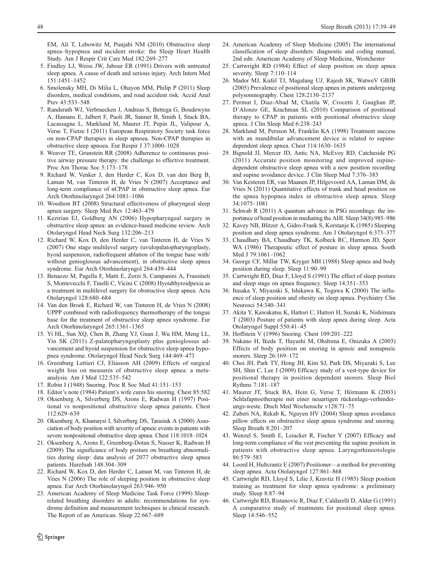<span id="page-9-0"></span>EM, Ali T, Lebowitz M, Punjabi NM (2010) Obstructive sleep apnea–hypopnea and incident stroke: the Sleep Heart Health Study. Am J Respir Crit Care Med 182:269–277

- 5. Findley LJ, Weiss JW, Jabour ER (1991) Drivers with untreated sleep apnea. A cause of death and serious injury. Arch Intern Med 151:1451–1452
- 6. Smolensky MH, Di Milia L, Ohayon MM, Philip P (2011) Sleep disorders, medical conditions, and road accident risk. Accid Anal Prev 43:533–548
- 7. Randerath WJ, Verbraecken J, Andreas S, Bettega G, Boudewyns A, Hamans E, Jalbert F, Paoli JR, Sanner B, Smith I, Stuck BA, Lacassagne L, Marklund M, Maurer JT, Pepin JL, Valipour A, Verse T, Fietze I (2011) European Respiratory Society task force on non-CPAP therapies in sleep apnoea. Non-CPAP therapies in obstructive sleep apnoea. Eur Respir J 37:1000–1028
- 8. Weaver TE, Grunstein RR (2008) Adherence to continuous positive airway pressure therapy: the challenge to effective treatment. Proc Am Thorac Soc 5:173–178
- 9. Richard W, Venker J, den Herder C, Kox D, van den Berg B, Laman M, van Tinteren H, de Vries N (2007) Acceptance and long-term compliance of nCPAP in obstructive sleep apnea. Eur Arch Otorhinolaryngol 264:1081–1086
- 10. Woodson BT (2008) Structural effectiveness of pharyngeal sleep apnea surgery. Sleep Med Rev 12:463–479
- 11. Kezirian EJ, Goldberg AN (2006) Hypopharyngeal surgery in obstructive sleep apnea: an evidence-based medicine review. Arch Otolaryngol Head Neck Surg 132:206–213
- 12. Richard W, Kox D, den Herder C, van Tinteren H, de Vries N (2007) One stage multilevel surgery (uvulopalatopharyngoplasty, hyoid suspension, radiofrequent ablation of the tongue base with/ without genioglossus advancement), in obstructive sleep apnea syndrome. Eur Arch Otorhinolaryngol 264:439–444
- 13. Benazzo M, Pagella F, Matti E, Zorzi S, Campanini A, Frassineti S, Montevecchi F, Tinelli C, Vicini C (2008) Hyoidthyroidpexia as a treatment in multilevel surgery for obstructive sleep apnea. Acta Otolaryngol 128:680–684
- 14. Van den Broek E, Richard W, van Tinteren H, de Vries N (2008) UPPP combined with radiofrequency thermotherapy of the tongue base for the treatment of obstructive sleep apnea syndrome. Eur Arch Otorhinolaryngol 265:1361–1365
- 15. Yi HL, Sun XQ, Chen B, Zhang YJ, Guan J, Wu HM, Meng LL, Yin SK (2011) Z-palatopharyngoplasty plus genioglossus advancement and hyoid suspension for obstructive sleep apnea hypopnea syndrome. Otolaryngol Head Neck Surg 144:469–473
- 16. Greenburg Lettieri CJ, Eliasson AH (2009) Effects of surgical weight loss on measures of obstructive sleep apnea: a metaanalysis. Am J Med 122:535–542
- 17. Robin I (1948) Snoring. Proc R Soc Med 41:151–153
- 18. Editor's note (1984) Patient's wife cures his snoring. Chest 85:582
- 19. Oksenberg A, Silverberg DS, Arons E, Radwan H (1997) Positional vs nonpositional obstructive sleep apnea patients. Chest 112:629–639
- 20. Oksenberg A, Khamaysi I, Silverberg DS, Tarasiuk A (2000) Association of body position with severity of apneic events in patients with severe nonpositional obstructive sleep apnea. Chest 118:1018–1024
- 21. Oksenberg A, Arons E, Greenberg-Dotan S, Nasser K, Radwan H (2009) The significance of body posture on breathing abnormalities during sleep: data analysis of 2077 obstructive sleep apnea patients. Harefuah 148:304–309
- 22. Richard W, Kox D, den Herder C, Laman M, van Tinteren H, de Vries N (2006) The role of sleeping position in obstructive sleep apnea. Eur Arch Otorhinolaryngol 263:946–950
- 23. American Academy of Sleep Medicine Task Force (1999) Sleeprelated breathing disorders in adults: recommendations for syndrome definition and measurement techniques in clinical research. The Report of an American. Sleep 22:667–689
- 24. American Academy of Sleep Medicine (2005) The international classification of sleep disorders: diagnostic and coding manual, 2nd edn. American Academy of Sleep Medicine, Westchester
- 25. Cartwright RD (1984) Effect of sleep position on sleep apnea severity. Sleep 7:110-114
- 26. Mador MJ, Kufel TJ, Magalang UJ, Rajesh SK, WatweV GBJB (2005) Prevalence of positional sleep apnea in patients undergoing polysomnography. Chest 128:2130–2137
- 27. Permut I, Diaz-Abad M, Chatila W, Crocetti J, Gaughan JP, D'Alonzo GE, Krachman SL (2010) Comparison of positional therapy to CPAP in patients with positional obstructive sleep apnea. J Clin Sleep Med 6:238–243
- 28. Marklund M, Persson M, Franklin KA (1998) Treatment success with an mandibular advancement device is related to supinedependent sleep apnea. Chest 114:1630–1635
- 29. Bignold JJ, Mercer JD, Antic NA, McEvoy RD, Catcheside PG (2011) Accurate position monitoring and improved supinedependent obstructive sleep apnea with a new position recording and supine avoidance device. J Clin Sleep Med 7:376–383
- 30. Van Kesteren ER, van Maanen JP, Hilgevoord AA, Laman DM, de Vries N (2011) Quantitative effects of trunk and head position on the apnea hypopnea index in obstructive sleep apnea. Sleep 34:1075–1081
- 31. Schwab R (2011) A quantum advance in PSG recordings: the importance of head position in mediating the AHI. Sleep 34(8):985–986
- 32. Kavey NB, Blitzer A, Gidro-Frank S, Korstanje K (1985) Sleeping position and sleep apnea syndrome. Am J Otolaryngol 6:373–377
- 33. Chaudhary BA, Chaudhary TK, Kolbeck RC, Harmon JD, Speir WA (1986) Therapeutic effect of posture in sleep apnea. South Med J 79:1061–1062
- 34. George CF, Millar TW, Kryger MH (1988) Sleep apnea and body position during sleep. Sleep 11:90–99
- 35. Cartwright RD, Diaz F, Lloyd S (1991) The effect of sleep posture and sleep stage on apnea frequency. Sleep 14:351–353
- 36. Itasaka Y, Miyazaki S, Ishikawa K, Togawa K (2000) The influence of sleep position and obesity on sleep apnea. Psychiatry Clin Neurosci 54:340–341
- 37. Akita Y, Kawakatsu K, Hattori C, Hattori H, Suzuki K, Nishimura T (2003) Posture of patients with sleep apnea during sleep. Acta Otolaryngol Suppl 550:41–45
- 38. Hoffstein V (1996) Snoring. Chest 109:201–222
- 39. Nakano H, Ikeda T, Hayashi M, Ohshima E, Onizuka A (2003) Effects of body position on snoring in apneic and nonapneic snorers. Sleep 26:169-172
- 40. Choi JH, Park TY, Hong JH, Kim SJ, Park DS, Miyazaki S, Lee SH, Shin C, Lee J (2009) Efficacy study of a vest-type device for positional therapy in position dependent snorers. Sleep Biol Rythms 7:181–187
- 41. Maurer JT, Stuck BA, Hein G, Verse T, Hörmann K (2003) Schlafapnoetherapie mit einer neuartigen rückenlage-verhinderungs-weste. Dtsch Med Wochenschr v128:71–75
- 42. Zuberi NA, Rekab K, Nguyen HV (2004) Sleep apnea avoidance pillow effects on obstructive sleep apnea syndrome and snoring. Sleep Breath 8:201–207
- 43. Wenzel S, Smith E, Leiacker R, Fischer Y (2007) Efficacy and long-term compliance of the vest preventing the supine position in patients with obstructive sleep apnea. Laryngorhinootologie 86:579–583
- 44. Loord H, Hultcrantz E (2007) Positioner—a method for preventing sleep apnea. Acta Otolaryngol 127:861–868
- 45. Cartwright RD, Lloyd S, Lilie J, Kravtiz H (1985) Sleep position training as treatment for sleep apnea syndrome: a preliminary study. Sleep 8:87–94
- 46. Cartwright RD, Ristanovic R, Diaz F, Caldarelli D, Alder G (1991) A comparative study of treatments for positional sleep apnea. Sleep 14:546–552